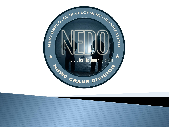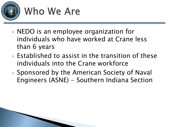

#### Who We Are

- ▶ NEDO is an employee organization for individuals who have worked at Crane less than 6 years
- Established to assist in the transition of these individuals into the Crane workforce
- ▶ Sponsored by the American Society of Naval Engineers (ASNE) - Southern Indiana Section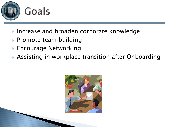

- ▶ Increase and broaden corporate knowledge
- ▶ Promote team building
- Encourage Networking!
- ▶ Assisting in workplace transition after Onboarding

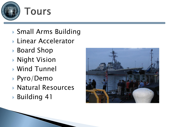

- Small Arms Building
- ▶ Linear Accelerator
- ▶ Board Shop
- Night Vision
- Wind Tunnel
- Pyro/Demo
- Natural Resources
- Building 41

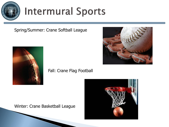

#### **Intermural Sports**

Spring/Summer: Crane Softball League



#### Fall: Crane Flag Football





Winter: Crane Basketball League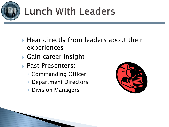

## **Lunch With Leaders**

- ▶ Hear directly from leaders about their experiences
- Gain career insight
- **Past Presenters:** 
	- Commanding Officer
	- Department Directors
	- Division Managers

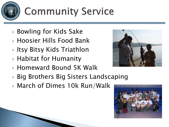

# **Community Service**

- ▶ Bowling for Kids Sake
- Hoosier Hills Food Bank
- ▶ Itsy Bitsy Kids Triathlon
- ▶ Habitat for Humanity
- Homeward Bound 5K Walk
- ▶ Big Brothers Big Sisters Landscaping
- ▶ March of Dimes 10k Run/Walk



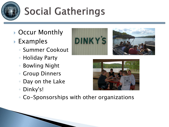

## **Social Gatherings**

- ▶ Occur Monthly
- Examples
	- Summer Cookout
	- Holiday Party
	- Bowling Night
	- Group Dinners
	- Day on the Lake
	- Dinky's!
	- Co-Sponsorships with other organizations





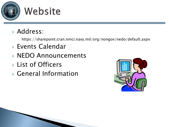

- Address:
	- https://sharepoint.cran.nmci.navy.mil/org/nongov/nedo/default.aspx
- Events Calendar
- **NEDO Announcements**
- **List of Officers**
- General Information

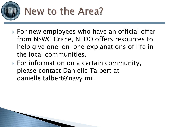

## New to the Area?

- ▶ For new employees who have an official offer from NSWC Crane, NEDO offers resources to help give one-on-one explanations of life in the local communities.
- ▶ For information on a certain community, please contact Danielle Talbert at danielle.talbert@navy.mil.